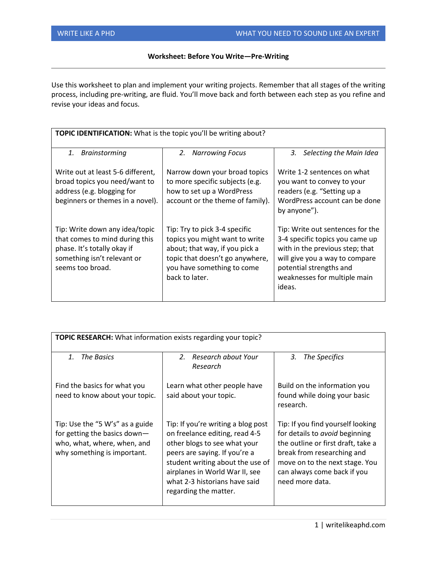## **Worksheet: Before You Write—Pre-Writing**

Use this worksheet to plan and implement your writing projects. Remember that all stages of the writing process, including pre-writing, are fluid. You'll move back and forth between each step as you refine and revise your ideas and focus.

| <b>TOPIC IDENTIFICATION:</b> What is the topic you'll be writing about?                                                                            |                                                                                                                                                                                      |                                                                                                                                                                                                               |  |
|----------------------------------------------------------------------------------------------------------------------------------------------------|--------------------------------------------------------------------------------------------------------------------------------------------------------------------------------------|---------------------------------------------------------------------------------------------------------------------------------------------------------------------------------------------------------------|--|
| 1.<br><b>Brainstorming</b>                                                                                                                         | 2.<br><b>Narrowing Focus</b>                                                                                                                                                         | Selecting the Main Idea<br>3.                                                                                                                                                                                 |  |
| Write out at least 5-6 different,<br>broad topics you need/want to<br>address (e.g. blogging for<br>beginners or themes in a novel).               | Narrow down your broad topics<br>to more specific subjects (e.g.<br>how to set up a WordPress<br>account or the theme of family).                                                    | Write 1-2 sentences on what<br>you want to convey to your<br>readers (e.g. "Setting up a<br>WordPress account can be done<br>by anyone").                                                                     |  |
| Tip: Write down any idea/topic<br>that comes to mind during this<br>phase. It's totally okay if<br>something isn't relevant or<br>seems too broad. | Tip: Try to pick 3-4 specific<br>topics you might want to write<br>about; that way, if you pick a<br>topic that doesn't go anywhere,<br>you have something to come<br>back to later. | Tip: Write out sentences for the<br>3-4 specific topics you came up<br>with in the previous step; that<br>will give you a way to compare<br>potential strengths and<br>weaknesses for multiple main<br>ideas. |  |

| <b>TOPIC RESEARCH:</b> What information exists regarding your topic?                                                          |                                                                                                                                                                                                                                                                       |                                                                                                                                                                                                                             |  |
|-------------------------------------------------------------------------------------------------------------------------------|-----------------------------------------------------------------------------------------------------------------------------------------------------------------------------------------------------------------------------------------------------------------------|-----------------------------------------------------------------------------------------------------------------------------------------------------------------------------------------------------------------------------|--|
| <b>The Basics</b><br>$\mathbf{1}$ .                                                                                           | Research about Your<br>$2^{2}$<br>Research                                                                                                                                                                                                                            | The Specifics<br>3.                                                                                                                                                                                                         |  |
| Find the basics for what you<br>need to know about your topic.                                                                | Learn what other people have<br>said about your topic.                                                                                                                                                                                                                | Build on the information you<br>found while doing your basic<br>research.                                                                                                                                                   |  |
| Tip: Use the "5 W's" as a guide<br>for getting the basics down-<br>who, what, where, when, and<br>why something is important. | Tip: If you're writing a blog post<br>on freelance editing, read 4-5<br>other blogs to see what your<br>peers are saying. If you're a<br>student writing about the use of<br>airplanes in World War II, see<br>what 2-3 historians have said<br>regarding the matter. | Tip: If you find yourself looking<br>for details to avoid beginning<br>the outline or first draft, take a<br>break from researching and<br>move on to the next stage. You<br>can always come back if you<br>need more data. |  |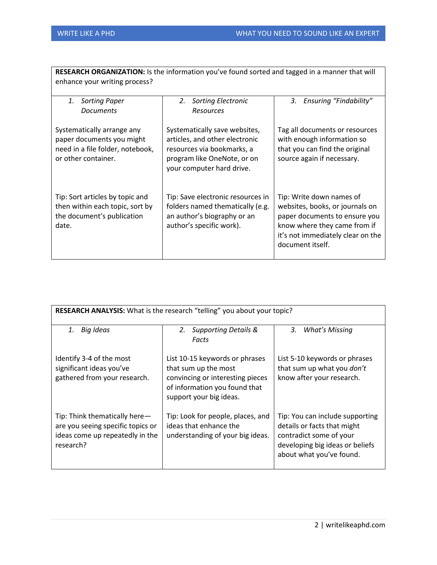| RESEARCH ORGANIZATION: Is the information you've found sorted and tagged in a manner that will<br>enhance your writing process? |                                                                                                                                                           |                                                                                                                                                                                       |  |
|---------------------------------------------------------------------------------------------------------------------------------|-----------------------------------------------------------------------------------------------------------------------------------------------------------|---------------------------------------------------------------------------------------------------------------------------------------------------------------------------------------|--|
| 1.<br><b>Sorting Paper</b><br><b>Documents</b>                                                                                  | 2.<br><b>Sorting Electronic</b><br>Resources                                                                                                              | <b>Ensuring "Findability"</b><br>3.                                                                                                                                                   |  |
| Systematically arrange any<br>paper documents you might<br>need in a file folder, notebook,<br>or other container.              | Systematically save websites,<br>articles, and other electronic<br>resources via bookmarks, a<br>program like OneNote, or on<br>your computer hard drive. | Tag all documents or resources<br>with enough information so<br>that you can find the original<br>source again if necessary.                                                          |  |
| Tip: Sort articles by topic and<br>then within each topic, sort by<br>the document's publication<br>date.                       | Tip: Save electronic resources in<br>folders named thematically (e.g.<br>an author's biography or an<br>author's specific work).                          | Tip: Write down names of<br>websites, books, or journals on<br>paper documents to ensure you<br>know where they came from if<br>it's not immediately clear on the<br>document itself. |  |

| RESEARCH ANALYSIS: What is the research "telling" you about your topic?                                            |                                                                                                                                                        |                                                                                                                                                          |  |
|--------------------------------------------------------------------------------------------------------------------|--------------------------------------------------------------------------------------------------------------------------------------------------------|----------------------------------------------------------------------------------------------------------------------------------------------------------|--|
| <b>Big Ideas</b><br>1.                                                                                             | <b>Supporting Details &amp;</b><br>2.<br>Facts                                                                                                         | <b>What's Missing</b><br>3.                                                                                                                              |  |
| Identify 3-4 of the most<br>significant ideas you've<br>gathered from your research.                               | List 10-15 keywords or phrases<br>that sum up the most<br>convincing or interesting pieces<br>of information you found that<br>support your big ideas. | List 5-10 keywords or phrases<br>that sum up what you don't<br>know after your research.                                                                 |  |
| Tip: Think thematically here-<br>are you seeing specific topics or<br>ideas come up repeatedly in the<br>research? | Tip: Look for people, places, and<br>ideas that enhance the<br>understanding of your big ideas.                                                        | Tip: You can include supporting<br>details or facts that might<br>contradict some of your<br>developing big ideas or beliefs<br>about what you've found. |  |